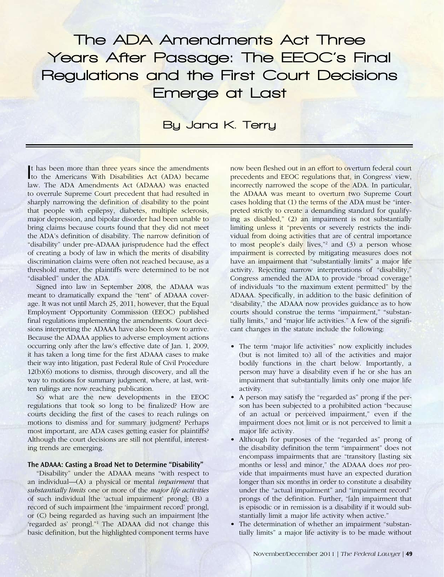# The ADA Amendments Act Three Years After Passage: The EEOC's Final Regulations and the First Court Decisions Emerge at Last

# By Jana K. Terry

I t has been more than three years since the amendments to the Americans With Disabilities Act (ADA) became law. The ADA Amendments Act (ADAAA) was enacted to overrule Supreme Court precedent that had resulted in sharply narrowing the definition of disability to the point that people with epilepsy, diabetes, multiple sclerosis, major depression, and bipolar disorder had been unable to bring claims because courts found that they did not meet the ADA's definition of disability. The narrow definition of "disability" under pre-ADAAA jurisprudence had the effect of creating a body of law in which the merits of disability discrimination claims were often not reached because, as a threshold matter, the plaintiffs were determined to be not "disabled" under the ADA.

Signed into law in September 2008, the ADAAA was meant to dramatically expand the "tent" of ADAAA coverage. It was not until March 25, 2011, however, that the Equal Employment Opportunity Commission (EEOC) published final regulations implementing the amendments. Court decisions interpreting the ADAAA have also been slow to arrive. Because the ADAAA applies to adverse employment actions occurring only after the law's effective date of Jan. 1, 2009, it has taken a long time for the first ADAAA cases to make their way into litigation, past Federal Rule of Civil Procedure 12(b)(6) motions to dismiss, through discovery, and all the way to motions for summary judgment, where, at last, written rulings are now reaching publication.

So what are the new developments in the EEOC regulations that took so long to be finalized? How are courts deciding the first of the cases to reach rulings on motions to dismiss and for summary judgment? Perhaps most important, are ADA cases getting easier for plaintiffs? Although the court decisions are still not plentiful, interesting trends are emerging.

#### **The ADAAA: Casting a Broad Net to Determine "Disability"**

"Disability" under the ADAAA means "with respect to an individual—(A) a physical or mental *impairment* that *substantially limits* one or more of the *major life activities* of such individual [the 'actual impairment' prong]; (B) a record of such impairment [the 'impairment record' prong], or (C) being regarded as having such an impairment [the 'regarded as' prongl."<sup>1</sup> The ADAAA did not change this basic definition, but the highlighted component terms have

now been fleshed out in an effort to overturn federal court precedents and EEOC regulations that, in Congress' view, incorrectly narrowed the scope of the ADA. In particular, the ADAAA was meant to overturn two Supreme Court cases holding that (1) the terms of the ADA must be "interpreted strictly to create a demanding standard for qualifying as disabled," (2) an impairment is not substantially limiting unless it "prevents or severely restricts the individual from doing activities that are of central importance to most people's daily lives,"<sup>2</sup> and (3) a person whose impairment is corrected by mitigating measures does not have an impairment that "substantially limits" a major life activity. Rejecting narrow interpretations of "disability," Congress amended the ADA to provide "broad coverage" of individuals "to the maximum extent permitted" by the ADAAA. Specifically, in addition to the basic definition of "disability," the ADAAA now provides guidance as to how courts should construe the terms "impairment," "substantially limits," and "major life activities." A few of the significant changes in the statute include the following:

- • The term "major life activities" now explicitly includes (but is not limited to) all of the activities and major bodily functions in the chart below. Importantly, a person may have a disability even if he or she has an impairment that substantially limits only one major life activity.
- • A person may satisfy the "regarded as" prong if the person has been subjected to a prohibited action "because of an actual or perceived impairment," even if the impairment does not limit or is not perceived to limit a major life activity.
- Although for purposes of the "regarded as" prong of the disability definition the term "impairment" does not encompass impairments that are "transitory [lasting six months or less] and minor," the ADAAA does *not* provide that impairments must have an expected duration longer than six months in order to constitute a disability under the "actual impairment" and "impairment record" prongs of the definition. Further, "[a]n impairment that is episodic or in remission is a disability if it would substantially limit a major life activity when active."
- The determination of whether an impairment "substantially limits" a major life activity is to be made without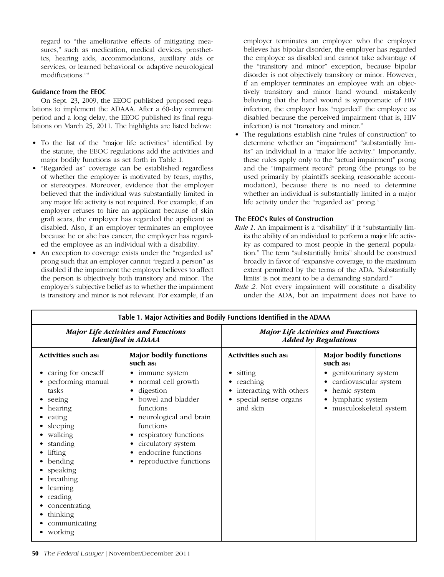regard to "the ameliorative effects of mitigating measures," such as medication, medical devices, prosthetics, hearing aids, accommodations, auxiliary aids or services, or learned behavioral or adaptive neurological modifications."3

#### **Guidance from the EEOC**

On Sept. 23, 2009, the EEOC published proposed regulations to implement the ADAAA. After a 60-day comment period and a long delay, the EEOC published its final regulations on March 25, 2011. The highlights are listed below:

- To the list of the "major life activities" identified by the statute, the EEOC regulations add the activities and major bodily functions as set forth in Table 1.
- "Regarded as" coverage can be established regardless of whether the employer is motivated by fears, myths, or stereotypes. Moreover, evidence that the employer believed that the individual was substantially limited in any major life activity is not required. For example, if an employer refuses to hire an applicant because of skin graft scars, the employer has regarded the applicant as disabled. Also, if an employer terminates an employee because he or she has cancer, the employer has regarded the employee as an individual with a disability.
- An exception to coverage exists under the "regarded as" prong such that an employer cannot "regard a person" as disabled if the impairment the employer believes to affect the person is objectively both transitory and minor. The employer's subjective belief as to whether the impairment is transitory and minor is not relevant. For example, if an

employer terminates an employee who the employer believes has bipolar disorder, the employer has regarded the employee as disabled and cannot take advantage of the "transitory and minor" exception, because bipolar disorder is not objectively transitory or minor. However, if an employer terminates an employee with an objectively transitory and minor hand wound, mistakenly believing that the hand wound is symptomatic of HIV infection, the employer has "regarded" the employee as disabled because the perceived impairment (that is, HIV infection) is not "transitory and minor."

The regulations establish nine "rules of construction" to determine whether an "impairment" "substantially limits" an individual in a "major life activity." Importantly, these rules apply only to the "actual impairment" prong and the "impairment record" prong (the prongs to be used primarily by plaintiffs seeking reasonable accommodation), because there is no need to determine whether an individual is substantially limited in a major life activity under the "regarded as" prong.<sup>4</sup>

#### **The EEOC's Rules of Construction**

- *Rule 1.* An impairment is a "disability" if it "substantially limits the ability of an individual to perform a major life activity as compared to most people in the general population." The term "substantially limits" should be construed broadly in favor of "expansive coverage, to the maximum extent permitted by the terms of the ADA. 'Substantially limits' is not meant to be a demanding standard."
- *Rule 2.* Not every impairment will constitute a disability under the ADA, but an impairment does not have to

| Table 1. Major Activities and Bodily Functions Identified in the ADAAA                                                                                                                                                                                                          |                                                                                                                                                                                                                                                                                                                                                  |                                                                                                                          |                                                                                                                                                                                |
|---------------------------------------------------------------------------------------------------------------------------------------------------------------------------------------------------------------------------------------------------------------------------------|--------------------------------------------------------------------------------------------------------------------------------------------------------------------------------------------------------------------------------------------------------------------------------------------------------------------------------------------------|--------------------------------------------------------------------------------------------------------------------------|--------------------------------------------------------------------------------------------------------------------------------------------------------------------------------|
| <b>Major Life Activities and Functions</b><br><b>Identified in ADAAA</b>                                                                                                                                                                                                        |                                                                                                                                                                                                                                                                                                                                                  | <b>Major Life Activities and Functions</b><br><b>Added by Regulations</b>                                                |                                                                                                                                                                                |
| <b>Activities such as:</b><br>caring for oneself<br>performing manual<br>tasks<br>seeing<br>hearing<br>eating<br>sleeping<br>walking<br>standing<br>lifting<br>bending<br>speaking<br>breathing<br>learning<br>reading<br>concentrating<br>thinking<br>communicating<br>working | <b>Major bodily functions</b><br>such as:<br>immune system<br>٠<br>normal cell growth<br>$\bullet$<br>digestion<br>$\bullet$<br>bowel and bladder<br>٠<br>functions<br>• neurological and brain<br>functions<br>respiratory functions<br>$\bullet$<br>circulatory system<br>٠<br>endocrine functions<br>٠<br>reproductive functions<br>$\bullet$ | Activities such as:<br>sitting<br>٠<br>reaching<br>٠<br>interacting with others<br>٠<br>special sense organs<br>and skin | <b>Major bodily functions</b><br>such as:<br>• genitourinary system<br>cardiovascular system<br>٠<br>hemic system<br>٠<br>lymphatic system<br>٠<br>musculoskeletal system<br>٠ |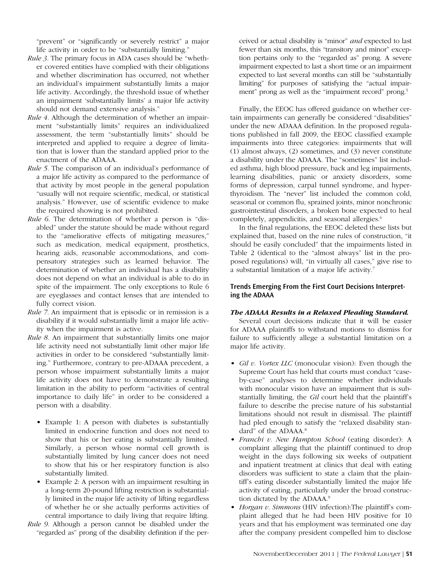"prevent" or "significantly or severely restrict" a major life activity in order to be "substantially limiting."

- *Rule 3.* The primary focus in ADA cases should be "whether covered entities have complied with their obligations and whether discrimination has occurred, not whether an individual's impairment substantially limits a major life activity. Accordingly, the threshold issue of whether an impairment 'substantially limits' a major life activity should not demand extensive analysis."
- *Rule 4.* Although the determination of whether an impairment "substantially limits" requires an individualized assessment, the term "substantially limits" should be interpreted and applied to require a degree of limitation that is lower than the standard applied prior to the enactment of the ADAAA.
- *Rule 5.* The comparison of an individual's performance of a major life activity as compared to the performance of that activity by most people in the general population "usually will not require scientific, medical, or statistical analysis." However, use of scientific evidence to make the required showing is not prohibited.
- *Rule 6.* The determination of whether a person is "disabled" under the statute should be made without regard to the "ameliorative effects of mitigating measures," such as medication, medical equipment, prosthetics, hearing aids, reasonable accommodations, and compensatory strategies such as learned behavior. The determination of whether an individual has a disability does not depend on what an individual is able to do in spite of the impairment. The only exceptions to Rule 6 are eyeglasses and contact lenses that are intended to fully correct vision.
- *Rule 7.* An impairment that is episodic or in remission is a disability if it would substantially limit a major life activity when the impairment is active.
- *Rule 8.* An impairment that substantially limits one major life activity need not substantially limit other major life activities in order to be considered "substantially limiting." Furthermore, contrary to pre-ADAAA precedent, a person whose impairment substantially limits a major life activity does not have to demonstrate a resulting limitation in the ability to perform "activities of central importance to daily life" in order to be considered a person with a disability.
	- Example 1: A person with diabetes is substantially limited in endocrine function and does not need to show that his or her eating is substantially limited. Similarly, a person whose normal cell growth is substantially limited by lung cancer does not need to show that his or her respiratory function is also substantially limited.
	- Example 2: A person with an impairment resulting in a long-term 20-pound lifting restriction is substantially limited in the major life activity of lifting regardless of whether he or she actually performs activities of central importance to daily living that require lifting.
- *Rule 9.* Although a person cannot be disabled under the "regarded as" prong of the disability definition if the per-

ceived or actual disability is "minor" *and* expected to last fewer than six months, this "transitory and minor" exception pertains only to the "regarded as" prong. A severe impairment expected to last a short time or an impairment expected to last several months can still be "substantially limiting" for purposes of satisfying the "actual impairment" prong as well as the "impairment record" prong.5

Finally, the EEOC has offered guidance on whether certain impairments can generally be considered "disabilities" under the new ADAAA definition. In the proposed regulations published in fall 2009, the EEOC classified example impairments into three categories: impairments that will (1) almost always, (2) sometimes, and (3) never constitute a disability under the ADAAA. The "sometimes" list included asthma, high blood pressure, back and leg impairments, learning disabilities, panic or anxiety disorders, some forms of depression, carpal tunnel syndrome, and hyperthyroidism. The "never" list included the common cold, seasonal or common flu, sprained joints, minor nonchronic gastrointestinal disorders, a broken bone expected to heal completely, appendicitis, and seasonal allergies.<sup>6</sup>

In the final regulations, the EEOC deleted these lists but explained that, based on the nine rules of construction, "it should be easily concluded" that the impairments listed in Table 2 (identical to the "almost always" list in the proposed regulations) will, "in virtually all cases," give rise to a substantial limitation of a major life activity.7

# **Trends Emerging From the First Court Decisions Interpreting the ADAAA**

# *The ADAAA Results in a Relaxed Pleading Standard.*

Several court decisions indicate that it will be easier for ADAAA plaintiffs to withstand motions to dismiss for failure to sufficiently allege a substantial limitation on a major life activity.

- *• Gil v. Vortex LLC* (monocular vision): Even though the Supreme Court has held that courts must conduct "caseby-case" analyses to determine whether individuals with monocular vision have an impairment that is substantially limiting, the *Gil* court held that the plaintiff's failure to describe the precise nature of his substantial limitations should not result in dismissal. The plaintiff had pled enough to satisfy the "relaxed disability standard" of the ADAAA.<sup>8</sup>
- *• Franchi v. New Hampton School* (eating disorder): A complaint alleging that the plaintiff continued to drop weight in the days following six weeks of outpatient and inpatient treatment at clinics that deal with eating disorders was sufficient to state a claim that the plaintiff's eating disorder substantially limited the major life activity of eating, particularly under the broad construction dictated by the ADAAA.<sup>9</sup>
- *• Horgan v. Simmons* (HIV infection):The plaintiff's complaint alleged that he had been HIV positive for 10 years and that his employment was terminated one day after the company president compelled him to disclose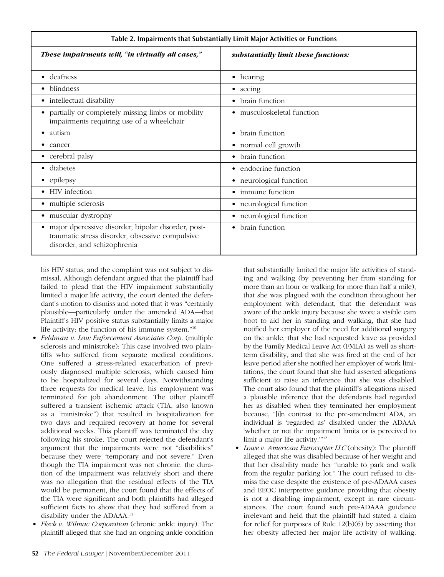| Table 2. Impairments that Substantially Limit Major Activities or Functions                                                                       |                                      |  |  |
|---------------------------------------------------------------------------------------------------------------------------------------------------|--------------------------------------|--|--|
| These impairments will, "in virtually all cases,"                                                                                                 | substantially limit these functions: |  |  |
| deafness<br>$\bullet$                                                                                                                             | hearing<br>٠                         |  |  |
| blindness                                                                                                                                         | seeing<br>٠                          |  |  |
| intellectual disability<br>٠                                                                                                                      | brain function<br>٠                  |  |  |
| partially or completely missing limbs or mobility<br>impairments requiring use of a wheelchair                                                    | musculoskeletal function<br>٠        |  |  |
| autism<br>$\bullet$                                                                                                                               | brain function<br>$\bullet$          |  |  |
| cancer                                                                                                                                            | • normal cell growth                 |  |  |
| • cerebral palsy                                                                                                                                  | brain function<br>$\bullet$          |  |  |
| diabetes                                                                                                                                          | • endocrine function                 |  |  |
| • epilepsy                                                                                                                                        | • neurological function              |  |  |
| HIV infection<br>$\bullet$                                                                                                                        | • immune function                    |  |  |
| • multiple sclerosis                                                                                                                              | • neurological function              |  |  |
| muscular dystrophy<br>$\bullet$                                                                                                                   | • neurological function              |  |  |
| major dperessive disorder, bipolar disorder, post-<br>$\bullet$<br>traumatic stress disorder, obsessive compulsive<br>disorder, and schizophrenia | brain function<br>$\bullet$          |  |  |

his HIV status, and the complaint was not subject to dismissal. Although defendant argued that the plaintiff had failed to plead that the HIV impairment substantially limited a major life activity, the court denied the defendant's motion to dismiss and noted that it was "certainly plausible—particularly under the amended ADA—that Plaintiff's HIV positive status substantially limits a major life activity: the function of his immune system."10

- *• Feldman v. Law Enforcement Associates Corp.* (multiple sclerosis and ministroke): This case involved two plaintiffs who suffered from separate medical conditions. One suffered a stress-related exacerbation of previously diagnosed multiple sclerosis, which caused him to be hospitalized for several days. Notwithstanding three requests for medical leave, his employment was terminated for job abandonment. The other plaintiff suffered a transient ischemic attack (TIA, also known as a "ministroke") that resulted in hospitalization for two days and required recovery at home for several additional weeks. This plaintiff was terminated the day following his stroke. The court rejected the defendant's argument that the impairments were not "disabilities" because they were "temporary and not severe." Even though the TIA impairment was not chronic, the duration of the impairment was relatively short and there was no allegation that the residual effects of the TIA would be permanent, the court found that the effects of the TIA were significant and both plaintiffs had alleged sufficient facts to show that they had suffered from a disability under the ADAAA.<sup>11</sup>
- *• Fleck v. Wilmac Corporation* (chronic ankle injury): The plaintiff alleged that she had an ongoing ankle condition

that substantially limited the major life activities of standing and walking (by preventing her from standing for more than an hour or walking for more than half a mile), that she was plagued with the condition throughout her employment with defendant, that the defendant was aware of the ankle injury because she wore a visible cam boot to aid her in standing and walking, that she had notified her employer of the need for additional surgery on the ankle, that she had requested leave as provided by the Family Medical Leave Act (FMLA) as well as shortterm disability, and that she was fired at the end of her leave period after she notified her employer of work limitations, the court found that she had asserted allegations sufficient to raise an inference that she was disabled. The court also found that the plaintiff's allegations raised a plausible inference that the defendants had regarded her as disabled when they terminated her employment because, "[i]n contrast to the pre-amendment ADA, an individual is 'regarded as' disabled under the ADAAA 'whether or not the impairment limits or is perceived to limit a major life activity.'"12

*• Lowe v. American Eurocopter LLC* (obesity): The plaintiff alleged that she was disabled because of her weight and that her disability made her "unable to park and walk from the regular parking lot." The court refused to dismiss the case despite the existence of pre-ADAAA cases and EEOC interpretive guidance providing that obesity is not a disabling impairment, except in rare circumstances. The court found such pre-ADAAA guidance irrelevant and held that the plaintiff had stated a claim for relief for purposes of Rule 12(b)(6) by asserting that her obesity affected her major life activity of walking.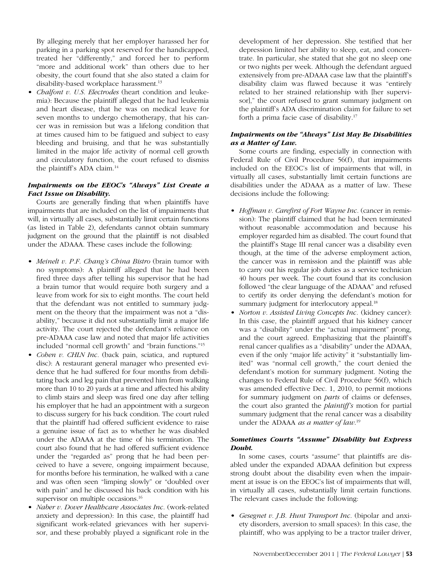By alleging merely that her employer harassed her for parking in a parking spot reserved for the handicapped, treated her "differently," and forced her to perform "more and additional work" than others due to her obesity, the court found that she also stated a claim for disability-based workplace harassment.<sup>13</sup>

*• Chalfont v. U.S. Electrodes* (heart condition and leukemia): Because the plaintiff alleged that he had leukemia and heart disease, that he was on medical leave for seven months to undergo chemotherapy, that his cancer was in remission but was a lifelong condition that at times caused him to be fatigued and subject to easy bleeding and bruising, and that he was substantially limited in the major life activity of normal cell growth and circulatory function, the court refused to dismiss the plaintiff's ADA claim.14

# *Impairments on the EEOC's "Always" List Create a Fact Issue on Disability.*

Courts are generally finding that when plaintiffs have impairments that are included on the list of impairments that will, in virtually all cases, substantially limit certain functions (as listed in Table 2), defendants cannot obtain summary judgment on the ground that the plaintiff is not disabled under the ADAAA. These cases include the following:

- *• Meinelt v. P.F. Chang's China Bistro* (brain tumor with no symptoms): A plaintiff alleged that he had been fired three days after telling his supervisor that he had a brain tumor that would require both surgery and a leave from work for six to eight months. The court held that the defendant was not entitled to summary judgment on the theory that the impairment was not a "disability," because it did not substantially limit a major life activity. The court rejected the defendant's reliance on pre-ADAAA case law and noted that major life activities included "normal cell growth" and "brain functions."15
- *• Cohen v. CHLN Inc.* (back pain, sciatica, and ruptured disc): A restaurant general manager who presented evidence that he had suffered for four months from debilitating back and leg pain that prevented him from walking more than 10 to 20 yards at a time and affected his ability to climb stairs and sleep was fired one day after telling his employer that he had an appointment with a surgeon to discuss surgery for his back condition. The court ruled that the plaintiff had offered sufficient evidence to raise a genuine issue of fact as to whether he was disabled under the ADAAA at the time of his termination. The court also found that he had offered sufficient evidence under the "regarded as" prong that he had been perceived to have a severe, ongoing impairment because, for months before his termination, he walked with a cane and was often seen "limping slowly" or "doubled over with pain" and he discussed his back condition with his supervisor on multiple occasions.<sup>16</sup>
- *• Naber v. Dover Healthcare Associates Inc.* (work-related anxiety and depression): In this case, the plaintiff had significant work-related grievances with her supervisor, and these probably played a significant role in the

development of her depression. She testified that her depression limited her ability to sleep, eat, and concentrate. In particular, she stated that she got no sleep one or two nights per week. Although the defendant argued extensively from pre-ADAAA case law that the plaintiff's disability claim was flawed because it was "entirely related to her strained relationship with [her supervisor]," the court refused to grant summary judgment on the plaintiff's ADA discrimination claim for failure to set forth a prima facie case of disability.17

# *Impairments on the "Always" List May Be Disabilities as a Matter of Law.*

Some courts are finding, especially in connection with Federal Rule of Civil Procedure 56(f), that impairments included on the EEOC's list of impairments that will, in virtually all cases, substantially limit certain functions are disabilities under the ADAAA as a matter of law. These decisions include the following:

- *• Hoffman v. Carefirst of Fort Wayne Inc.* (cancer in remission): The plaintiff claimed that he had been terminated without reasonable accommodation and because his employer regarded him as disabled. The court found that the plaintiff's Stage III renal cancer was a disability even though, at the time of the adverse employment action, the cancer was in remission and the plaintiff was able to carry out his regular job duties as a service technician 40 hours per week. The court found that its conclusion followed "the clear language of the ADAAA" and refused to certify its order denying the defendant's motion for summary judgment for interlocutory appeal.<sup>18</sup>
- *• Norton v. Assisted Living Concepts Inc.* (kidney cancer): In this case, the plaintiff argued that his kidney cancer was a "disability" under the "actual impairment" prong, and the court agreed. Emphasizing that the plaintiff's renal cancer qualifies as a "disability" under the ADAAA, even if the only "major life activity" it "substantially limited" was "normal cell growth," the court denied the defendant's motion for summary judgment. Noting the changes to Federal Rule of Civil Procedure 56(f), which was amended effective Dec. 1, 2010, to permit motions for summary judgment on *parts* of claims or defenses, the court also granted the *plaintiff's* motion for partial summary judgment that the renal cancer was a disability under the ADAAA *as a matter of law*. 19

# *Sometimes Courts "Assume" Disability but Express Doubt.*

In some cases, courts "assume" that plaintiffs are disabled under the expanded ADAAA definition but express strong doubt about the disability even when the impairment at issue is on the EEOC's list of impairments that will, in virtually all cases, substantially limit certain functions. The relevant cases include the following:

*• Gesegnet v. J.B. Hunt Transport Inc.* (bipolar and anxiety disorders, aversion to small spaces): In this case, the plaintiff, who was applying to be a tractor trailer driver,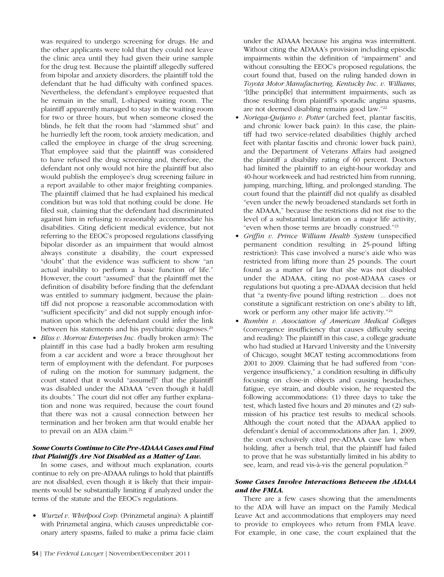was required to undergo screening for drugs. He and the other applicants were told that they could not leave the clinic area until they had given their urine sample for the drug test. Because the plaintiff allegedly suffered from bipolar and anxiety disorders, the plaintiff told the defendant that he had difficulty with confined spaces. Nevertheless, the defendant's employee requested that he remain in the small, L-shaped waiting room. The plaintiff apparently managed to stay in the waiting room for two or three hours, but when someone closed the blinds, he felt that the room had "slammed shut" and he hurriedly left the room, took anxiety medication, and called the employee in charge of the drug screening. That employee said that the plaintiff was considered to have refused the drug screening and, therefore, the defendant not only would not hire the plaintiff but also would publish the employee's drug screening failure in a report available to other major freighting companies. The plaintiff claimed that he had explained his medical condition but was told that nothing could be done. He filed suit, claiming that the defendant had discriminated against him in refusing to reasonably accommodate his disabilities. Citing deficient medical evidence, but not referring to the EEOC's proposed regulations classifying bipolar disorder as an impairment that would almost always constitute a disability, the court expressed "doubt" that the evidence was sufficient to show "an actual inability to perform a basic function of life." However, the court "assumed" that the plaintiff met the definition of disability before finding that the defendant was entitled to summary judgment, because the plaintiff did not propose a reasonable accommodation with "sufficient specificity" and did not supply enough information upon which the defendant could infer the link between his statements and his psychiatric diagnoses.<sup>20</sup>

*Bliss v. Morrow Enterprises Inc.* (badly broken arm): The plaintiff in this case had a badly broken arm resulting from a car accident and wore a brace throughout her term of employment with the defendant. For purposes of ruling on the motion for summary judgment, the court stated that it would "assume[]" that the plaintiff was disabled under the ADAAA "even though it ha[d] its doubts." The court did not offer any further explanation and none was required, because the court found that there was not a causal connection between her termination and her broken arm that would enable her to prevail on an ADA claim.<sup>21</sup>

#### *Some Courts Continue to Cite Pre-ADAAA Cases and Find that Plaintiffs Are Not Disabled as a Matter of Law.*

In some cases, and without much explanation, courts continue to rely on pre-ADAAA rulings to hold that plaintiffs are not disabled, even though it is likely that their impairments would be substantially limiting if analyzed under the terms of the statute and the EEOC's regulations.

*• Wurzel v. Whirlpool Corp.* (Prinzmetal angina): A plaintiff with Prinzmetal angina, which causes unpredictable coronary artery spasms, failed to make a prima facie claim under the ADAAA because his angina was intermittent. Without citing the ADAAA's provision including episodic impairments within the definition of "impairment" and without consulting the EEOC's proposed regulations, the court found that, based on the ruling handed down in *Toyota Motor Manufacturing, Kentucky Inc. v. Williams*, "[t]he princip[le] that intermittent impairments, such as those resulting from plaintiff's sporadic angina spasms, are not deemed disabling remains good law."22

- *• Noriega-Quijano v. Potter* (arched feet, plantar fascitis, and chronic lower back pain): In this case, the plaintiff had two service-related disabilities (highly arched feet with plantar fascitis and chronic lower back pain), and the Department of Veterans Affairs had assigned the plaintiff a disability rating of 60 percent. Doctors had limited the plaintiff to an eight-hour workday and 40-hour workweek and had restricted him from running, jumping, marching, lifting, and prolonged standing. The court found that the plaintiff did not qualify as disabled "even under the newly broadened standards set forth in the ADAAA," because the restrictions did not rise to the level of a substantial limitation on a major life activity, "even when those terms are broadly construed."23
- *• Griffin v. Prince William Health System* (unspecified permanent condition resulting in 25-pound lifting restriction): This case involved a nurse's aide who was restricted from lifting more than 25 pounds. The court found as a matter of law that she was not disabled under the ADAAA, citing no post-ADAAA cases or regulations but quoting a pre-ADAAA decision that held that "a twenty-five pound lifting restriction ... does not constitute a significant restriction on one's ability to lift, work or perform any other major life activity."<sup>24</sup>
- *• Rumbin v. Association of American Medical Colleges* (convergence insufficiency that causes difficulty seeing and reading): The plaintiff in this case, a college graduate who had studied at Harvard University and the University of Chicago, sought MCAT testing accommodations from 2001 to 2009. Claiming that he had suffered from "convergence insufficiency," a condition resulting in difficulty focusing on close-in objects and causing headaches, fatigue, eye strain, and double vision, he requested the following accommodations: (1) three days to take the test, which lasted five hours and 20 minutes and (2) submission of his practice test results to medical schools. Although the court noted that the ADAAA applied to defendant's denial of accommodations after Jan. 1, 2009, the court exclusively cited pre-ADAAA case law when holding, after a bench trial, that the plaintiff had failed to prove that he was substantially limited in his ability to see, learn, and read vis-à-vis the general population.25

# *Some Cases Involve Interactions Between the ADAAA and the FMLA.*

There are a few cases showing that the amendments to the ADA will have an impact on the Family Medical Leave Act and accommodations that employers may need to provide to employees who return from FMLA leave. For example, in one case, the court explained that the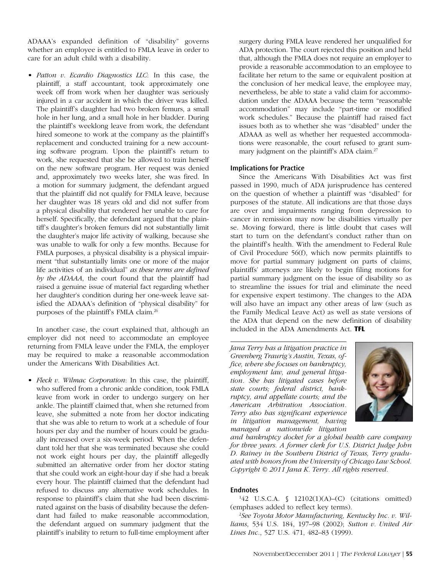ADAAA's expanded definition of "disability" governs whether an employee is entitled to FMLA leave in order to care for an adult child with a disability.

*• Patton v. Ecardio Diagnostics LLC*: In this case, the plaintiff, a staff accountant, took approximately one week off from work when her daughter was seriously injured in a car accident in which the driver was killed. The plaintiff's daughter had two broken femurs, a small hole in her lung, and a small hole in her bladder. During the plaintiff's weeklong leave from work, the defendant hired someone to work at the company as the plaintiff's replacement and conducted training for a new accounting software program. Upon the plaintiff's return to work, she requested that she be allowed to train herself on the new software program. Her request was denied and, approximately two weeks later, she was fired. In a motion for summary judgment, the defendant argued that the plaintiff did not qualify for FMLA leave, because her daughter was 18 years old and did not suffer from a physical disability that rendered her unable to care for herself. Specifically, the defendant argued that the plaintiff's daughter's broken femurs did not substantially limit the daughter's major life activity of walking, because she was unable to walk for only a few months. Because for FMLA purposes, a physical disability is a physical impairment "that substantially limits one or more of the major life activities of an individual" *as these terms are defined by the ADAAA*, the court found that the plaintiff had raised a genuine issue of material fact regarding whether her daughter's condition during her one-week leave satisfied the ADAAA's definition of "physical disability" for purposes of the plaintiff's FMLA claim.26

In another case, the court explained that, although an employer did not need to accommodate an employee returning from FMLA leave under the FMLA, the employer may be required to make a reasonable accommodation under the Americans With Disabilities Act.

*• Fleck v. Wilmac Corporation*: In this case, the plaintiff, who suffered from a chronic ankle condition, took FMLA leave from work in order to undergo surgery on her ankle. The plaintiff claimed that, when she returned from leave, she submitted a note from her doctor indicating that she was able to return to work at a schedule of four hours per day and the number of hours could be gradually increased over a six-week period. When the defendant told her that she was terminated because she could not work eight hours per day, the plaintiff allegedly submitted an alternative order from her doctor stating that she could work an eight-hour day if she had a break every hour. The plaintiff claimed that the defendant had refused to discuss any alternative work schedules. In response to plaintiff's claim that she had been discriminated against on the basis of disability because the defendant had failed to make reasonable accommodation, the defendant argued on summary judgment that the plaintiff's inability to return to full-time employment after surgery during FMLA leave rendered her unqualified for ADA protection. The court rejected this position and held that, although the FMLA does not require an employer to provide a reasonable accommodation to an employee to facilitate her return to the same or equivalent position at the conclusion of her medical leave, the employee may, nevertheless, be able to state a valid claim for accommodation under the ADAAA because the term "reasonable accommodation" may include "part-time or modified work schedules." Because the plaintiff had raised fact issues both as to whether she was "disabled" under the ADAAA as well as whether her requested accommodations were reasonable, the court refused to grant summary judgment on the plaintiff's ADA claim.<sup>27</sup>

#### **Implications for Practice**

Since the Americans With Disabilities Act was first passed in 1990, much of ADA jurisprudence has centered on the question of whether a plaintiff was "disabled" for purposes of the statute. All indications are that those days are over and impairments ranging from depression to cancer in remission may now be disabilities virtually per se. Moving forward, there is little doubt that cases will start to turn on the defendant's conduct rather than on the plaintiff's health. With the amendment to Federal Rule of Civil Procedure 56(f), which now permits plaintiffs to move for partial summary judgment on parts of claims, plaintiffs' attorneys are likely to begin filing motions for partial summary judgment on the issue of disability so as to streamline the issues for trial and eliminate the need for expensive expert testimony. The changes to the ADA will also have an impact any other areas of law (such as the Family Medical Leave Act) as well as state versions of the ADA that depend on the new definition of disability included in the ADA Amendments Act. **TFL**

*Jana Terry has a litigation practice in Greenberg Traurig's Austin, Texas, office, where she focuses on bankruptcy, employment law, and general litigation. She has litigated cases before state courts; federal district, bankruptcy, and appellate courts; and the American Arbitration Association. Terry also has significant experience in litigation management, having managed a nationwide litigation* 



*and bankruptcy docket for a global health care company for three years. A former clerk for U.S. District Judge John D. Rainey in the Southern District of Texas, Terry graduated with honors from the University of Chicago Law School. Copyright © 2011 Jana K. Terry. All rights reserved.*

#### **Endnotes**

1 42 U.S.C.A. § 12102(1)(A)–(C) (citations omitted) (emphases added to reflect key terms).

2 *See Toyota Motor Manufacturing, Kentucky Inc. v. Williams*, 534 U.S. 184, 197–98 (2002); *Sutton v. United Air Lines Inc.*, 527 U.S. 471, 482–83 (1999).